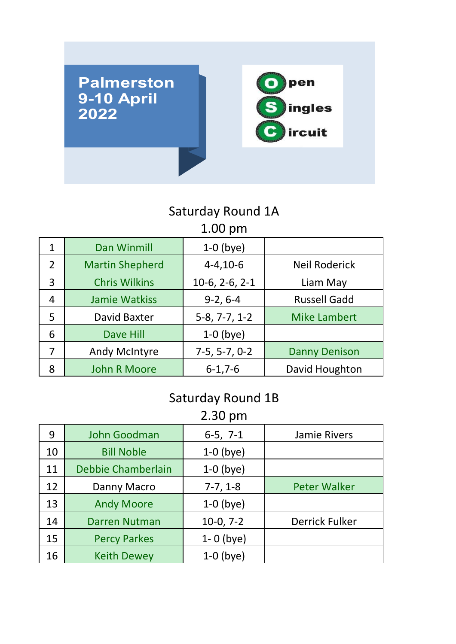

#### 1.00 pm Saturday Round 1A

| $\overline{1}$ . $\overline{0}$ $\overline{0}$ $\overline{1}$ |                        |                  |                      |
|---------------------------------------------------------------|------------------------|------------------|----------------------|
| $\mathbf{1}$                                                  | <b>Dan Winmill</b>     | $1-0$ (bye)      |                      |
| $\overline{2}$                                                | <b>Martin Shepherd</b> | $4 - 4, 10 - 6$  | <b>Neil Roderick</b> |
| 3                                                             | <b>Chris Wilkins</b>   | $10-6, 2-6, 2-1$ | Liam May             |
| 4                                                             | <b>Jamie Watkiss</b>   | $9-2, 6-4$       | <b>Russell Gadd</b>  |
| 5                                                             | <b>David Baxter</b>    | $5-8, 7-7, 1-2$  | <b>Mike Lambert</b>  |
| 6                                                             | <b>Dave Hill</b>       | $1-0$ (bye)      |                      |
| 7                                                             | <b>Andy McIntyre</b>   | $7-5, 5-7, 0-2$  | <b>Danny Denison</b> |
| 8                                                             | <b>John R Moore</b>    | $6 - 1, 7 - 6$   | David Houghton       |

#### Saturday Round 1B

2.30 pm

| 9  | John Goodman         | $6-5, 7-1$    | Jamie Rivers          |
|----|----------------------|---------------|-----------------------|
| 10 | <b>Bill Noble</b>    | $1-0$ (bye)   |                       |
| 11 | Debbie Chamberlain   | $1-0$ (bye)   |                       |
| 12 | Danny Macro          | $7-7, 1-8$    | <b>Peter Walker</b>   |
| 13 | <b>Andy Moore</b>    | $1-0$ (bye)   |                       |
| 14 | <b>Darren Nutman</b> | $10-0, 7-2$   | <b>Derrick Fulker</b> |
| 15 | <b>Percy Parkes</b>  | $1 - 0$ (bye) |                       |
| 16 | <b>Keith Dewey</b>   | $1-0$ (bye)   |                       |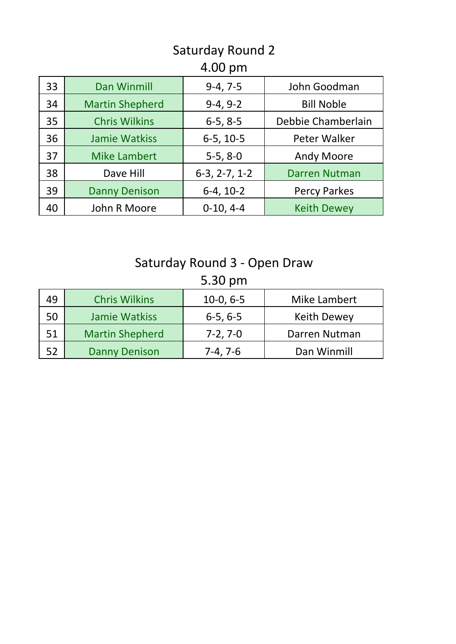# Saturday Round 2

### 4.00 pm

| 33 | <b>Dan Winmill</b>     | $9-4, 7-5$      | John Goodman         |
|----|------------------------|-----------------|----------------------|
| 34 | <b>Martin Shepherd</b> | $9-4, 9-2$      | <b>Bill Noble</b>    |
| 35 | <b>Chris Wilkins</b>   | $6-5, 8-5$      | Debbie Chamberlain   |
| 36 | <b>Jamie Watkiss</b>   | $6-5, 10-5$     | Peter Walker         |
| 37 | <b>Mike Lambert</b>    | $5-5, 8-0$      | <b>Andy Moore</b>    |
| 38 | Dave Hill              | $6-3, 2-7, 1-2$ | <b>Darren Nutman</b> |
| 39 | <b>Danny Denison</b>   | $6-4, 10-2$     | <b>Percy Parkes</b>  |
| 40 | John R Moore           | $0-10, 4-4$     | <b>Keith Dewey</b>   |

## Saturday Round 3 - Open Draw

5.30 pm

| 49 | <b>Chris Wilkins</b>   | $10-0, 6-5$ | Mike Lambert       |
|----|------------------------|-------------|--------------------|
| 50 | Jamie Watkiss          | $6-5, 6-5$  | <b>Keith Dewey</b> |
| 51 | <b>Martin Shepherd</b> | $7-2, 7-0$  | Darren Nutman      |
| 52 | <b>Danny Denison</b>   | 7-4, 7-6    | Dan Winmill        |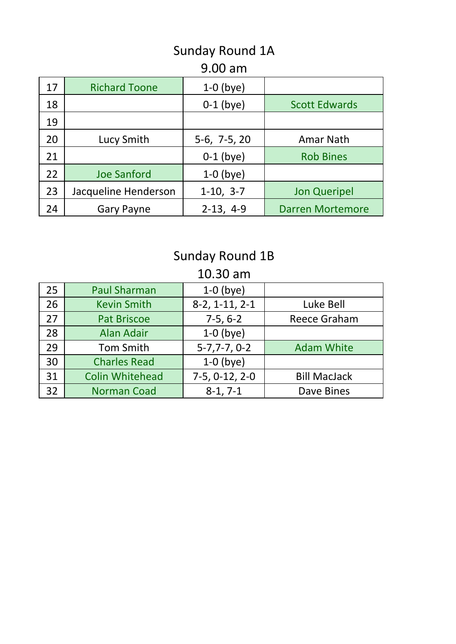## Sunday Round 1A

#### 9.00 am

| 17 | <b>Richard Toone</b> | $1-0$ (bye)    |                         |
|----|----------------------|----------------|-------------------------|
| 18 |                      | $0-1$ (bye)    | <b>Scott Edwards</b>    |
| 19 |                      |                |                         |
| 20 | Lucy Smith           | $5-6, 7-5, 20$ | Amar Nath               |
| 21 |                      | $0-1$ (bye)    | <b>Rob Bines</b>        |
| 22 | <b>Joe Sanford</b>   | $1-0$ (bye)    |                         |
| 23 | Jacqueline Henderson | $1-10, 3-7$    | <b>Jon Queripel</b>     |
| 24 | <b>Gary Payne</b>    | $2-13, 4-9$    | <b>Darren Mortemore</b> |

# Sunday Round 1B

10.30 am

| 25 | <b>Paul Sharman</b>    | $1-0$ (bye)      |                     |
|----|------------------------|------------------|---------------------|
| 26 | <b>Kevin Smith</b>     | $8-2, 1-11, 2-1$ | Luke Bell           |
| 27 | <b>Pat Briscoe</b>     | $7-5, 6-2$       | <b>Reece Graham</b> |
| 28 | <b>Alan Adair</b>      | $1-0$ (bye)      |                     |
| 29 | <b>Tom Smith</b>       | $5-7,7-7,0-2$    | <b>Adam White</b>   |
| 30 | <b>Charles Read</b>    | $1-0$ (bye)      |                     |
| 31 | <b>Colin Whitehead</b> | $7-5, 0-12, 2-0$ | <b>Bill MacJack</b> |
| 32 | <b>Norman Coad</b>     | $8-1, 7-1$       | Dave Bines          |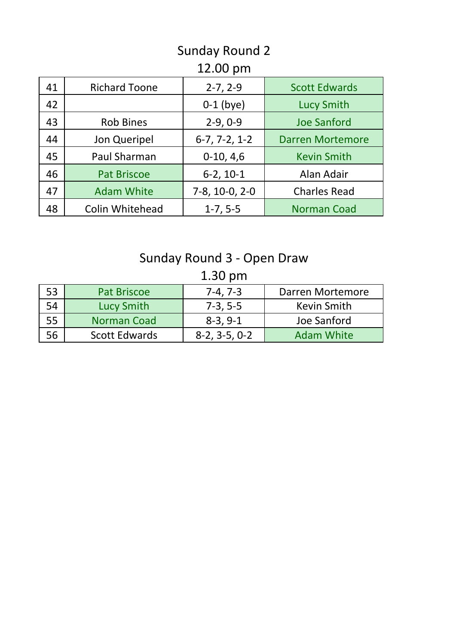## Sunday Round 2

### 12.00 pm

| 41 | <b>Richard Toone</b>   | $2-7, 2-9$      | <b>Scott Edwards</b>    |
|----|------------------------|-----------------|-------------------------|
| 42 |                        | $0-1$ (bye)     | <b>Lucy Smith</b>       |
| 43 | <b>Rob Bines</b>       | $2-9, 0-9$      | <b>Joe Sanford</b>      |
| 44 | Jon Queripel           | $6-7, 7-2, 1-2$ | <b>Darren Mortemore</b> |
| 45 | Paul Sharman           | $0-10, 4,6$     | <b>Kevin Smith</b>      |
| 46 | <b>Pat Briscoe</b>     | $6-2, 10-1$     | Alan Adair              |
| 47 | <b>Adam White</b>      | 7-8, 10-0, 2-0  | <b>Charles Read</b>     |
| 48 | <b>Colin Whitehead</b> | $1-7, 5-5$      | <b>Norman Coad</b>      |

## Sunday Round 3 - Open Draw

1.30 pm

| 53 | <b>Pat Briscoe</b> | $7-4, 7-3$      | Darren Mortemore  |
|----|--------------------|-----------------|-------------------|
| 54 | Lucy Smith         | $7-3, 5-5$      | Kevin Smith       |
| 55 | <b>Norman Coad</b> | $8-3, 9-1$      | Joe Sanford       |
| 56 | Scott Edwards      | $8-2, 3-5, 0-2$ | <b>Adam White</b> |